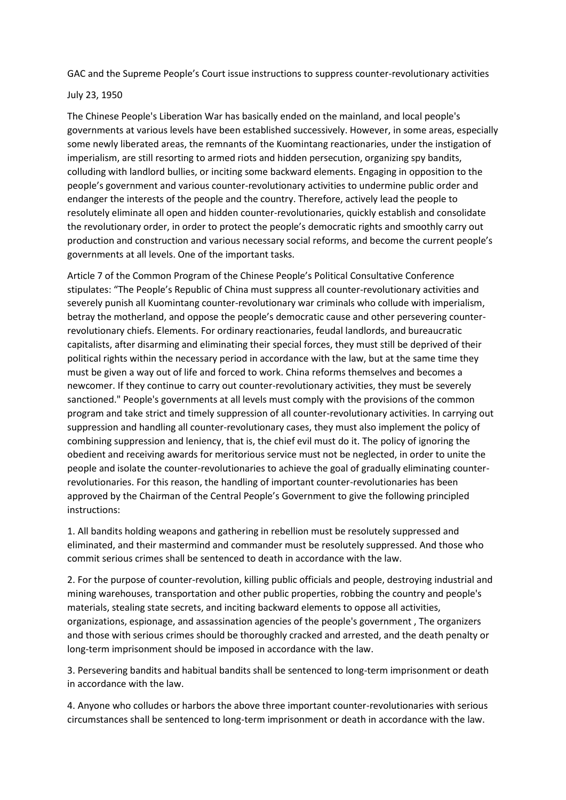GAC and the Supreme People's Court issue instructions to suppress counter-revolutionary activities

## July 23, 1950

The Chinese People's Liberation War has basically ended on the mainland, and local people's governments at various levels have been established successively. However, in some areas, especially some newly liberated areas, the remnants of the Kuomintang reactionaries, under the instigation of imperialism, are still resorting to armed riots and hidden persecution, organizing spy bandits, colluding with landlord bullies, or inciting some backward elements. Engaging in opposition to the people's government and various counter-revolutionary activities to undermine public order and endanger the interests of the people and the country. Therefore, actively lead the people to resolutely eliminate all open and hidden counter-revolutionaries, quickly establish and consolidate the revolutionary order, in order to protect the people's democratic rights and smoothly carry out production and construction and various necessary social reforms, and become the current people's governments at all levels. One of the important tasks.

Article 7 of the Common Program of the Chinese People's Political Consultative Conference stipulates: "The People's Republic of China must suppress all counter-revolutionary activities and severely punish all Kuomintang counter-revolutionary war criminals who collude with imperialism, betray the motherland, and oppose the people's democratic cause and other persevering counterrevolutionary chiefs. Elements. For ordinary reactionaries, feudal landlords, and bureaucratic capitalists, after disarming and eliminating their special forces, they must still be deprived of their political rights within the necessary period in accordance with the law, but at the same time they must be given a way out of life and forced to work. China reforms themselves and becomes a newcomer. If they continue to carry out counter-revolutionary activities, they must be severely sanctioned." People's governments at all levels must comply with the provisions of the common program and take strict and timely suppression of all counter-revolutionary activities. In carrying out suppression and handling all counter-revolutionary cases, they must also implement the policy of combining suppression and leniency, that is, the chief evil must do it. The policy of ignoring the obedient and receiving awards for meritorious service must not be neglected, in order to unite the people and isolate the counter-revolutionaries to achieve the goal of gradually eliminating counterrevolutionaries. For this reason, the handling of important counter-revolutionaries has been approved by the Chairman of the Central People's Government to give the following principled instructions:

1. All bandits holding weapons and gathering in rebellion must be resolutely suppressed and eliminated, and their mastermind and commander must be resolutely suppressed. And those who commit serious crimes shall be sentenced to death in accordance with the law.

2. For the purpose of counter-revolution, killing public officials and people, destroying industrial and mining warehouses, transportation and other public properties, robbing the country and people's materials, stealing state secrets, and inciting backward elements to oppose all activities, organizations, espionage, and assassination agencies of the people's government , The organizers and those with serious crimes should be thoroughly cracked and arrested, and the death penalty or long-term imprisonment should be imposed in accordance with the law.

3. Persevering bandits and habitual bandits shall be sentenced to long-term imprisonment or death in accordance with the law.

4. Anyone who colludes or harbors the above three important counter-revolutionaries with serious circumstances shall be sentenced to long-term imprisonment or death in accordance with the law.